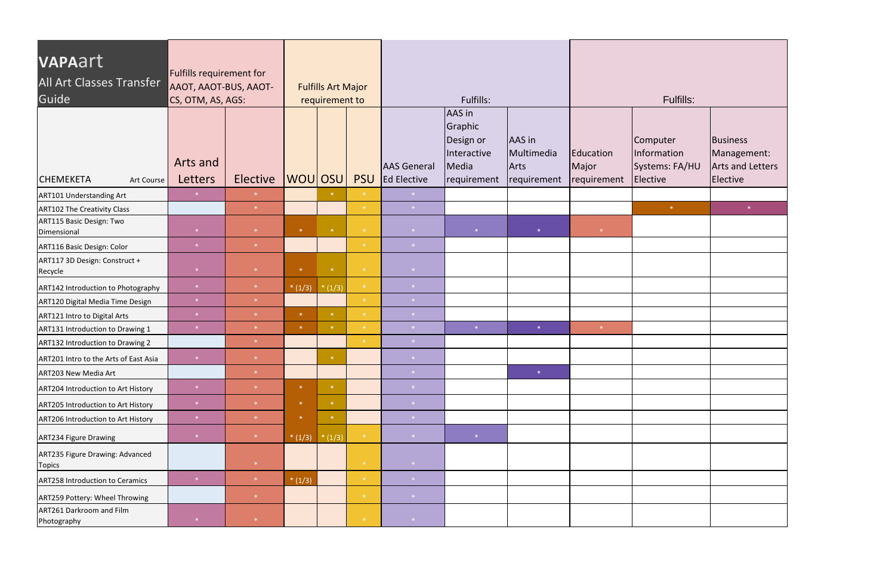| VAPAart<br><b>All Art Classes Transfer</b><br>Guide | Fulfills requirement for<br>AAOT, AAOT-BUS, AAOT-<br>CS, OTM, AS, AGS: | <b>Fulfills Art Major</b><br>requirement to |          |                                              |                              | Fulfills:                          |                                                                       | Fulfills:                                   |                                   |                                                       |                                                                |
|-----------------------------------------------------|------------------------------------------------------------------------|---------------------------------------------|----------|----------------------------------------------|------------------------------|------------------------------------|-----------------------------------------------------------------------|---------------------------------------------|-----------------------------------|-------------------------------------------------------|----------------------------------------------------------------|
| <b>CHEMEKETA</b><br>Art Course                      | Arts and<br>Letters                                                    | Elective                                    | WOU OSU  |                                              | <b>PSU</b>                   | <b>AAS</b> General<br>Ed Elective  | AAS in<br>Graphic<br>Design or<br>Interactive<br>Media<br>requirement | AAS in<br>Multimedia<br>Arts<br>requirement | Education<br>Major<br>requirement | Computer<br>Information<br>Systems: FA/HU<br>Elective | Business<br>Management:<br><b>Arts and Letters</b><br>Elective |
| <b>ART101 Understanding Art</b>                     | $\left\vert \mathbf{\ast }\right\vert$                                 | $\ast$                                      |          |                                              |                              | $\mathcal{R}^{(n)}$                |                                                                       |                                             |                                   |                                                       |                                                                |
| <b>ART102 The Creativity Class</b>                  |                                                                        | $\ast$                                      |          |                                              | $\ast$                       | $\mathbf{\ast}$                    |                                                                       |                                             |                                   | $\langle\!\langle\mathbf{k}\rangle\!\rangle$          |                                                                |
| ART115 Basic Design: Two<br>Dimensional             | $\ast$                                                                 | $\ast$                                      | $\ast$   | $\langle \star \rangle$                      | $\langle\mathbf{k}\rangle$   | $\rightarrow \infty$               | $\ast$                                                                | $\ast$                                      | $\ast$                            |                                                       |                                                                |
| ART116 Basic Design: Color                          | $*$                                                                    | $\ast$                                      |          |                                              | $\rightarrow$                | 来。                                 |                                                                       |                                             |                                   |                                                       |                                                                |
| ART117 3D Design: Construct +<br>Recycle            | $*$                                                                    | $\ast$                                      | $\ast$   | $\langle\!\langle\mathbf{k}\rangle\!\rangle$ | $\langle\mathbf{k}\rangle$   | $\rightarrow$ $\ast$               |                                                                       |                                             |                                   |                                                       |                                                                |
| ART142 Introduction to Photography                  | $\ast$                                                                 | $*$                                         | $*(1/3)$ | $*(1/3)$                                     | $\langle \mathbf{k} \rangle$ | $\rightarrow \ast$ .               |                                                                       |                                             |                                   |                                                       |                                                                |
| ART120 Digital Media Time Design                    | $\ast$                                                                 | $\ast$                                      |          |                                              | $\cdot$                      | $\mathcal{R}^{\mathcal{A}}$        |                                                                       |                                             |                                   |                                                       |                                                                |
| ART121 Intro to Digital Arts                        | $\ast$                                                                 | $\ast$                                      | $\ast$   | $\ast$                                       | $\langle\mathbf{k}\rangle$   | $\langle\ast\rangle$               |                                                                       |                                             |                                   |                                                       |                                                                |
| ART131 Introduction to Drawing 1                    | $\ast$                                                                 | $\ast$                                      | $\ast$   | $\ast$                                       | $\ast$                       | $\langle \star \rangle$            | $\langle\ast\rangle$                                                  | $\ast$                                      | $\ast$                            |                                                       |                                                                |
| ART132 Introduction to Drawing 2                    |                                                                        | $\ast$                                      |          |                                              | $\ast$                       | $\mathcal{R}^{\mathcal{A}}$        |                                                                       |                                             |                                   |                                                       |                                                                |
| ART201 Intro to the Arts of East Asia               | $\ast$                                                                 | $\ast$                                      |          | $*$                                          |                              | $\rightarrow \ast$ .               |                                                                       |                                             |                                   |                                                       |                                                                |
| ART203 New Media Art                                |                                                                        |                                             |          |                                              |                              | $\langle \cdot   \cdot \rangle$    |                                                                       | $\ast$                                      |                                   |                                                       |                                                                |
| ART204 Introduction to Art History                  | $\ast$                                                                 | $\ast$                                      | $\ast$   | $\ast$                                       |                              | $\rightarrow$                      |                                                                       |                                             |                                   |                                                       |                                                                |
| ART205 Introduction to Art History                  | $*$                                                                    | $\ast$                                      | $\ast$   | $*$                                          |                              | $\mathcal{R}$                      |                                                                       |                                             |                                   |                                                       |                                                                |
| ART206 Introduction to Art History                  | $*$                                                                    |                                             | $\ast$   | $\ast$                                       |                              | $\ast$                             |                                                                       |                                             |                                   |                                                       |                                                                |
| ART234 Figure Drawing                               | $\ast$                                                                 | $*$                                         | $*(1/3)$ | $*(1/3)$                                     | $\langle\mathbf{k}\rangle$   | $ *$                               | $\ast$                                                                |                                             |                                   |                                                       |                                                                |
| ART235 Figure Drawing: Advanced<br><b>Topics</b>    |                                                                        | $\ast$                                      |          |                                              | $*$                          | $\langle \star \rangle$            |                                                                       |                                             |                                   |                                                       |                                                                |
| <b>ART258 Introduction to Ceramics</b>              | $\ast$                                                                 |                                             | $*(1/3)$ |                                              | $\star$                      | $\langle\mathbf{k}\rangle$         |                                                                       |                                             |                                   |                                                       |                                                                |
| ART259 Pottery: Wheel Throwing                      |                                                                        | $\star$                                     |          |                                              | $\cdot$                      |                                    |                                                                       |                                             |                                   |                                                       |                                                                |
| ART261 Darkroom and Film<br>Photography             |                                                                        | $\ast$                                      |          |                                              | $\ast$                       | $\rightarrow$ $\ast$ $\rightarrow$ |                                                                       |                                             |                                   |                                                       |                                                                |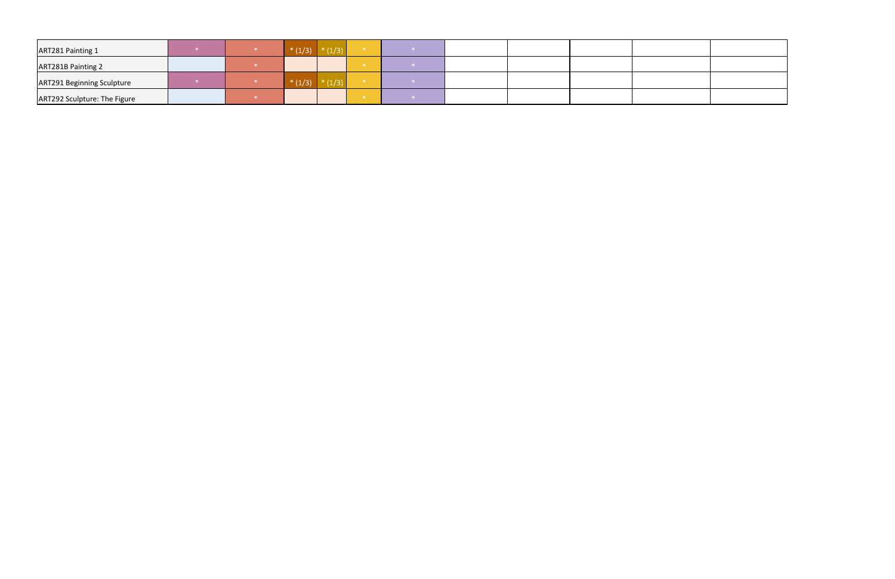| ART281 Painting 1                 |  |  |  |  |  |  |
|-----------------------------------|--|--|--|--|--|--|
| <b>ART281B Painting 2</b>         |  |  |  |  |  |  |
| <b>ART291 Beginning Sculpture</b> |  |  |  |  |  |  |
| ART292 Sculpture: The Figure      |  |  |  |  |  |  |